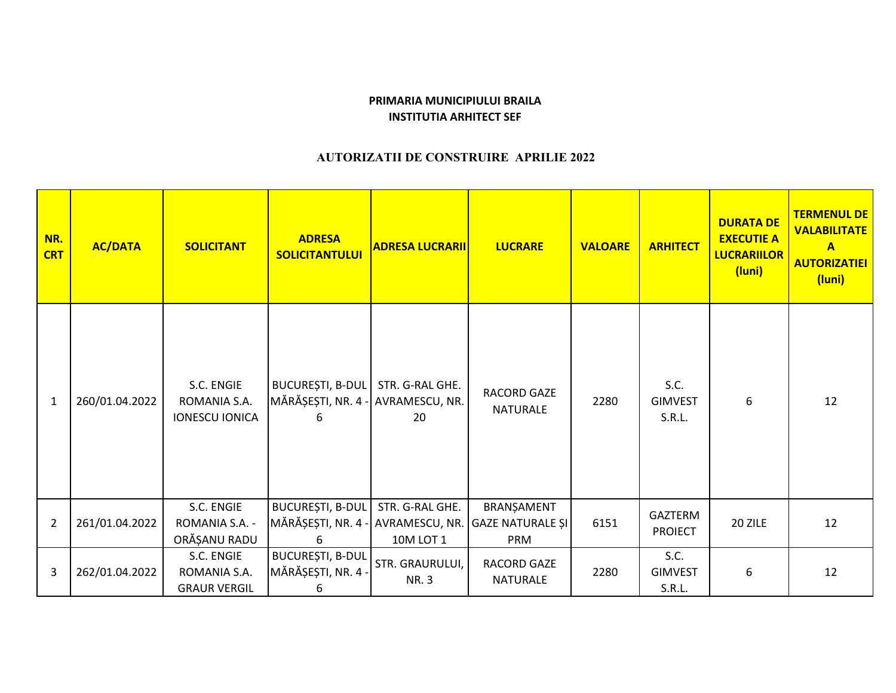## **PRIMARIA MUNICIPIULUI BRAILAINSTITUTIA ARHITECT SEF**

## **AUTORIZATII DE CONSTRUIRE APRILIE 2022**

| NR.<br><b>CRT</b> | <b>AC/DATA</b> | <b>SOLICITANT</b>                                   | <b>ADRESA</b><br><b>SOLICITANTULUI</b>                                      | <b>ADRESA LUCRARII</b>         | <b>LUCRARE</b>                 | <b>VALOARE</b> | <b>ARHITECT</b>                  | <b>DURATA DE</b><br><b>EXECUTIE A</b><br><b>LUCRARIILOR</b><br>(luni) | <b>TERMENUL DE</b><br><b>VALABILITATE</b><br>$\mathbf{A}$<br><b>AUTORIZATIEI</b><br>(luni) |
|-------------------|----------------|-----------------------------------------------------|-----------------------------------------------------------------------------|--------------------------------|--------------------------------|----------------|----------------------------------|-----------------------------------------------------------------------|--------------------------------------------------------------------------------------------|
| $\mathbf{1}$      | 260/01.04.2022 | S.C. ENGIE<br>ROMANIA S.A.<br><b>IONESCU IONICA</b> | BUCUREȘTI, B-DUL<br>MĂRĂȘEȘTI, NR. 4 - AVRAMESCU, NR.<br>6                  | STR. G-RAL GHE.<br>20          | RACORD GAZE<br><b>NATURALE</b> | 2280           | S.C.<br><b>GIMVEST</b><br>S.R.L. | 6                                                                     | 12                                                                                         |
| $\overline{2}$    | 261/01.04.2022 | S.C. ENGIE<br>ROMANIA S.A. -<br>ORĂȘANU RADU        | BUCUREȘTI, B-DUL<br>MĂRĂȘEȘTI, NR. 4 - AVRAMESCU, NR. GAZE NATURALE ȘI<br>6 | STR. G-RAL GHE.<br>10M LOT 1   | BRANȘAMENT<br>PRM              | 6151           | GAZTERM<br><b>PROIECT</b>        | 20 ZILE                                                               | 12                                                                                         |
| 3                 | 262/01.04.2022 | S.C. ENGIE<br>ROMANIA S.A.<br><b>GRAUR VERGIL</b>   | <b>BUCUREȘTI, B-DUL</b><br>MĂRĂȘEȘTI, NR. 4<br>6                            | STR. GRAURULUI,<br><b>NR.3</b> | <b>RACORD GAZE</b><br>NATURALE | 2280           | S.C.<br><b>GIMVEST</b><br>S.R.L. | 6                                                                     | 12                                                                                         |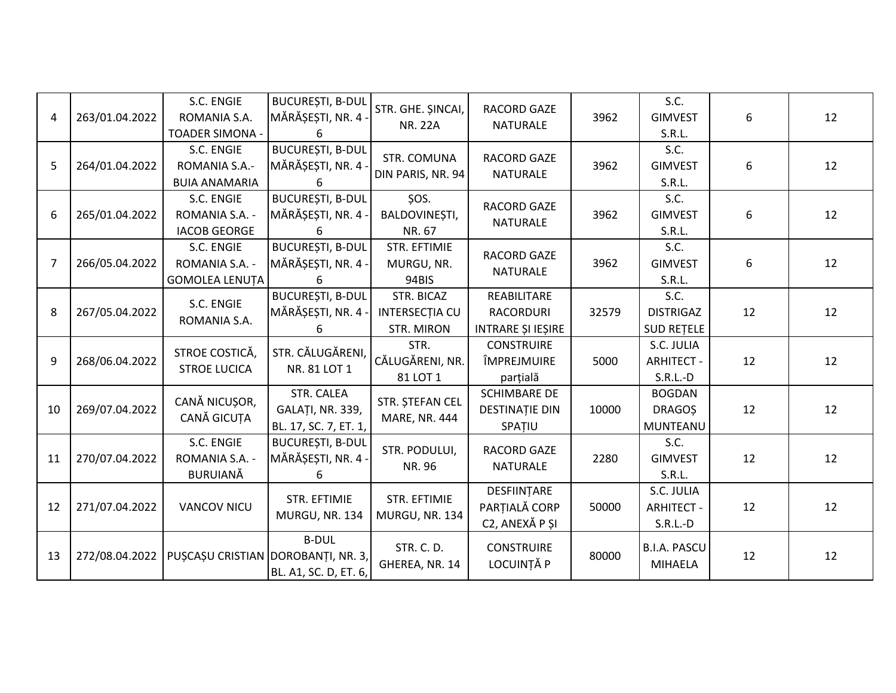| 4              | 263/01.04.2022 | S.C. ENGIE<br>ROMANIA S.A.<br><b>TOADER SIMONA -</b> | <b>BUCUREȘTI, B-DUL</b><br>MĂRĂȘEȘTI, NR. 4 ·<br>6      | STR. GHE. ŞINCAI,<br><b>NR. 22A</b>                      | <b>RACORD GAZE</b><br><b>NATURALE</b>                  | 3962  | S.C.<br><b>GIMVEST</b><br>S.R.L.              | 6  | 12 |
|----------------|----------------|------------------------------------------------------|---------------------------------------------------------|----------------------------------------------------------|--------------------------------------------------------|-------|-----------------------------------------------|----|----|
| 5              | 264/01.04.2022 | S.C. ENGIE<br>ROMANIA S.A.-<br><b>BUIA ANAMARIA</b>  | <b>BUCUREȘTI, B-DUL</b><br>MĂRĂȘEȘTI, NR. 4             | STR. COMUNA<br>DIN PARIS, NR. 94                         | <b>RACORD GAZE</b><br><b>NATURALE</b>                  | 3962  | S.C.<br><b>GIMVEST</b><br>S.R.L.              | 6  | 12 |
| 6              | 265/01.04.2022 | S.C. ENGIE<br>ROMANIA S.A. -<br><b>IACOB GEORGE</b>  | <b>BUCUREȘTI, B-DUL</b><br>MĂRĂȘEȘTI, NR. 4 ·<br>6      | ŞOS.<br>BALDOVINEȘTI,<br>NR. 67                          | RACORD GAZE<br><b>NATURALE</b>                         | 3962  | S.C.<br><b>GIMVEST</b><br>S.R.L.              | 6  | 12 |
| $\overline{7}$ | 266/05.04.2022 | S.C. ENGIE<br>ROMANIA S.A. -<br>GOMOLEA LENUȚA       | <b>BUCUREȘTI, B-DUL</b><br>MĂRĂȘEȘTI, NR. 4 -<br>6      | <b>STR. EFTIMIE</b><br>MURGU, NR.<br>94BIS               | RACORD GAZE<br><b>NATURALE</b>                         | 3962  | S.C.<br><b>GIMVEST</b><br>S.R.L.              | 6  | 12 |
| 8              | 267/05.04.2022 | S.C. ENGIE<br>ROMANIA S.A.                           | <b>BUCUREȘTI, B-DUL</b><br>MĂRĂȘEȘTI, NR. 4 -<br>6      | STR. BICAZ<br><b>INTERSECTIA CU</b><br><b>STR. MIRON</b> | REABILITARE<br><b>RACORDURI</b><br>INTRARE ȘI IEȘIRE   | 32579 | S.C.<br><b>DISTRIGAZ</b><br><b>SUD RETELE</b> | 12 | 12 |
| 9              | 268/06.04.2022 | STROE COSTICĂ,<br><b>STROE LUCICA</b>                | STR. CĂLUGĂRENI,<br>NR. 81 LOT 1                        | STR.<br>CĂLUGĂRENI, NR.<br>81 LOT 1                      | <b>CONSTRUIRE</b><br>ÎMPREJMUIRE<br>parțială           | 5000  | S.C. JULIA<br><b>ARHITECT -</b><br>$S.R.L.-D$ | 12 | 12 |
| 10             | 269/07.04.2022 | CANĂ NICUȘOR,<br>CANĂ GICUȚA                         | STR. CALEA<br>GALAȚI, NR. 339,<br>BL. 17, SC. 7, ET. 1, | STR. ȘTEFAN CEL<br><b>MARE, NR. 444</b>                  | <b>SCHIMBARE DE</b><br><b>DESTINAȚIE DIN</b><br>SPATIU | 10000 | <b>BOGDAN</b><br><b>DRAGOS</b><br>MUNTEANU    | 12 | 12 |
| 11             | 270/07.04.2022 | S.C. ENGIE<br>ROMANIA S.A. -<br><b>BURUIANĂ</b>      | <b>BUCUREȘTI, B-DUL</b><br>MĂRĂȘEȘTI, NR. 4 -<br>6      | STR. PODULUI,<br>NR. 96                                  | <b>RACORD GAZE</b><br><b>NATURALE</b>                  | 2280  | S.C.<br><b>GIMVEST</b><br>S.R.L.              | 12 | 12 |
| 12             | 271/07.04.2022 | <b>VANCOV NICU</b>                                   | <b>STR. EFTIMIE</b><br>MURGU, NR. 134                   | STR. EFTIMIE<br>MURGU, NR. 134                           | DESFIINTARE<br>PARTIALĂ CORP<br>C2, ANEXĂ P ȘI         | 50000 | S.C. JULIA<br><b>ARHITECT -</b><br>$S.R.L.-D$ | 12 | 12 |
| 13             | 272/08.04.2022 | PUȘCAȘU CRISTIAN DOROBANȚI, NR. 3,                   | <b>B-DUL</b><br>BL. A1, SC. D, ET. 6,                   | STR. C. D.<br>GHEREA, NR. 14                             | <b>CONSTRUIRE</b><br>LOCUINȚĂ P                        | 80000 | <b>B.I.A. PASCU</b><br>MIHAELA                | 12 | 12 |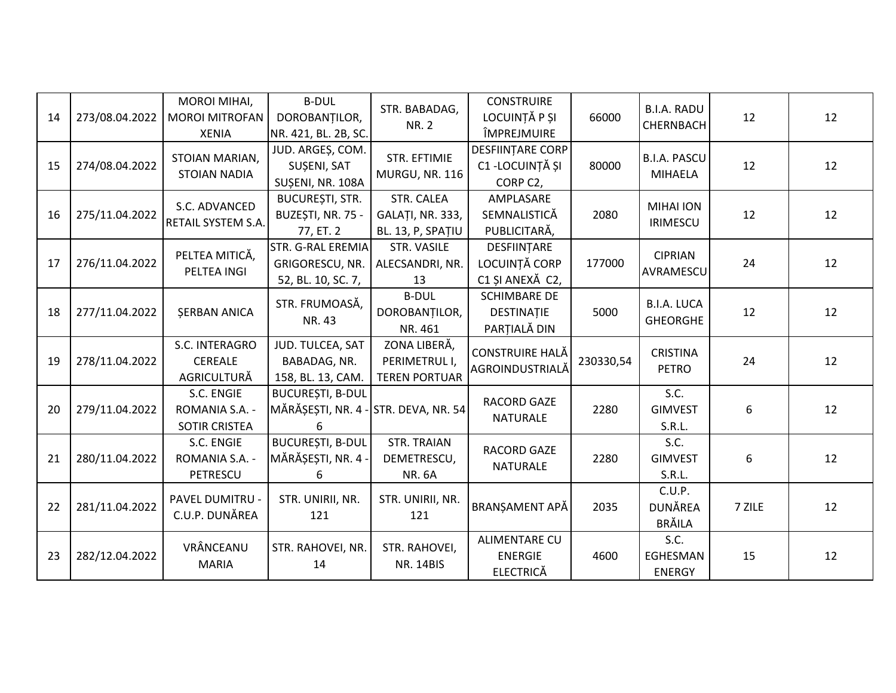| 14 | 273/08.04.2022 | MOROI MIHAI,<br><b>MOROI MITROFAN</b><br><b>XENIA</b> | <b>B-DUL</b><br>DOROBANȚILOR,<br>NR. 421, BL. 2B, SC.                | STR. BABADAG,<br><b>NR. 2</b>                         | <b>CONSTRUIRE</b><br>LOCUINȚĂ P ȘI<br>ÎMPREJMUIRE          | 66000     | <b>B.I.A. RADU</b><br>CHERNBACH           | 12     | 12 |
|----|----------------|-------------------------------------------------------|----------------------------------------------------------------------|-------------------------------------------------------|------------------------------------------------------------|-----------|-------------------------------------------|--------|----|
| 15 | 274/08.04.2022 | STOIAN MARIAN,<br><b>STOIAN NADIA</b>                 | JUD. ARGEȘ, COM.<br>SUȘENI, SAT<br>SUȘENI, NR. 108A                  | <b>STR. EFTIMIE</b><br>MURGU, NR. 116                 | <b>DESFIINTARE CORP</b><br>C1 - LOCUINȚĂ ȘI<br>CORP C2,    | 80000     | <b>B.I.A. PASCU</b><br>MIHAELA            | 12     | 12 |
| 16 | 275/11.04.2022 | S.C. ADVANCED<br>RETAIL SYSTEM S.A.                   | <b>BUCUREȘTI, STR.</b><br>BUZEȘTI, NR. 75 -<br>77, ET. 2             | STR. CALEA<br>GALAȚI, NR. 333,<br>BL. 13, P, SPAȚIU   | AMPLASARE<br>SEMNALISTICĂ<br>PUBLICITARĂ,                  | 2080      | <b>MIHAI ION</b><br><b>IRIMESCU</b>       | 12     | 12 |
| 17 | 276/11.04.2022 | PELTEA MITICĂ,<br>PELTEA INGI                         | STR. G-RAL EREMIA<br>GRIGORESCU, NR.<br>52, BL. 10, SC. 7,           | STR. VASILE<br>ALECSANDRI, NR.<br>13                  | DESFIINȚARE<br>LOCUINȚĂ CORP<br>C1 ȘI ANEXĂ C2,            | 177000    | <b>CIPRIAN</b><br>AVRAMESCU               | 24     | 12 |
| 18 | 277/11.04.2022 | <b>ŞERBAN ANICA</b>                                   | STR. FRUMOASĂ,<br>NR. 43                                             | <b>B-DUL</b><br>DOROBANȚILOR,<br>NR. 461              | <b>SCHIMBARE DE</b><br>DESTINAȚIE<br>PARȚIALĂ DIN          | 5000      | <b>B.I.A. LUCA</b><br><b>GHEORGHE</b>     | 12     | 12 |
| 19 | 278/11.04.2022 | S.C. INTERAGRO<br>CEREALE<br>AGRICULTURĂ              | JUD. TULCEA, SAT<br>BABADAG, NR.<br>158, BL. 13, CAM.                | ZONA LIBERĂ,<br>PERIMETRUL I,<br><b>TEREN PORTUAR</b> | CONSTRUIRE HALĂ<br>AGROINDUSTRIALĂ                         | 230330,54 | <b>CRISTINA</b><br><b>PETRO</b>           | 24     | 12 |
| 20 | 279/11.04.2022 | S.C. ENGIE<br>ROMANIA S.A. -<br>SOTIR CRISTEA         | <b>BUCUREȘTI, B-DUL</b><br>MĂRĂȘEȘTI, NR. 4 - STR. DEVA, NR. 54<br>6 |                                                       | <b>RACORD GAZE</b><br>NATURALE                             | 2280      | S.C.<br><b>GIMVEST</b><br>S.R.L.          | 6      | 12 |
| 21 | 280/11.04.2022 | S.C. ENGIE<br>ROMANIA S.A. -<br>PETRESCU              | <b>BUCUREȘTI, B-DUL</b><br>MĂRĂȘEȘTI, NR. 4 -<br>6                   | <b>STR. TRAIAN</b><br>DEMETRESCU,<br><b>NR. 6A</b>    | <b>RACORD GAZE</b><br><b>NATURALE</b>                      | 2280      | S.C.<br><b>GIMVEST</b><br>S.R.L.          | 6      | 12 |
| 22 | 281/11.04.2022 | PAVEL DUMITRU -<br>C.U.P. DUNĂREA                     | STR. UNIRII, NR.<br>121                                              | STR. UNIRII, NR.<br>121                               | BRANSAMENT APĂ                                             | 2035      | C.U.P.<br><b>DUNĂREA</b><br><b>BRĂILA</b> | 7 ZILE | 12 |
| 23 | 282/12.04.2022 | VRÂNCEANU<br><b>MARIA</b>                             | STR. RAHOVEI, NR.<br>14                                              | STR. RAHOVEI,<br><b>NR. 14BIS</b>                     | <b>ALIMENTARE CU</b><br><b>ENERGIE</b><br><b>ELECTRICĂ</b> | 4600      | S.C.<br>EGHESMAN<br><b>ENERGY</b>         | 15     | 12 |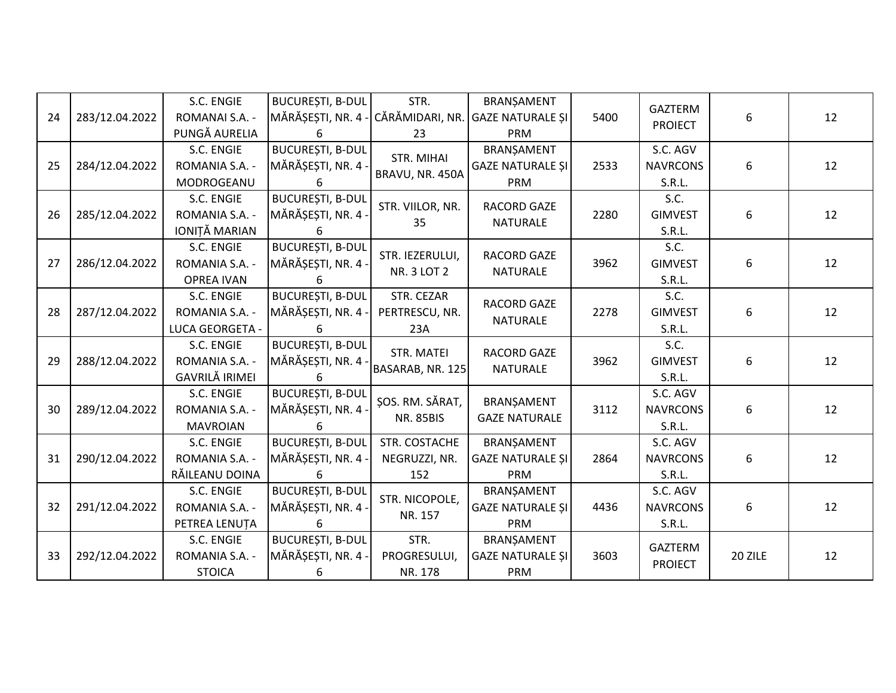|    |                | S.C. ENGIE            | <b>BUCURESTI, B-DUL</b> | STR.               | BRANŞAMENT              |      |                 |         |    |
|----|----------------|-----------------------|-------------------------|--------------------|-------------------------|------|-----------------|---------|----|
| 24 | 283/12.04.2022 | ROMANAI S.A. -        | MĂRĂȘEȘTI, NR. 4 ·      | CĂRĂMIDARI, NR.    | <b>GAZE NATURALE SI</b> | 5400 | GAZTERM         | 6       | 12 |
|    |                | PUNGĂ AURELIA         | 6                       | 23                 | PRM                     |      | <b>PROIECT</b>  |         |    |
|    |                | S.C. ENGIE            | <b>BUCUREȘTI, B-DUL</b> | <b>STR. MIHAI</b>  | BRANŞAMENT              |      | S.C. AGV        |         |    |
| 25 | 284/12.04.2022 | ROMANIA S.A. -        | MĂRĂȘEȘTI, NR. 4        |                    | <b>GAZE NATURALE ȘI</b> | 2533 | <b>NAVRCONS</b> | 6       | 12 |
|    |                | MODROGEANU            | 6                       | BRAVU, NR. 450A    | PRM                     |      | S.R.L.          |         |    |
|    |                | S.C. ENGIE            | <b>BUCUREȘTI, B-DUL</b> | STR. VIILOR, NR.   | <b>RACORD GAZE</b>      |      | S.C.            |         |    |
| 26 | 285/12.04.2022 | ROMANIA S.A. -        | MĂRĂȘEȘTI, NR. 4        | 35                 | <b>NATURALE</b>         | 2280 | <b>GIMVEST</b>  | 6       | 12 |
|    |                | IONIȚĂ MARIAN         | Б.                      |                    |                         |      | S.R.L.          |         |    |
|    |                | S.C. ENGIE            | <b>BUCUREȘTI, B-DUL</b> | STR. IEZERULUI,    | <b>RACORD GAZE</b>      |      | S.C.            |         |    |
| 27 | 286/12.04.2022 | ROMANIA S.A. -        | MĂRĂȘEȘTI, NR. 4        | <b>NR. 3 LOT 2</b> | <b>NATURALE</b>         | 3962 | <b>GIMVEST</b>  | 6       | 12 |
|    |                | <b>OPREA IVAN</b>     | 6                       |                    |                         |      | S.R.L.          |         |    |
|    |                | S.C. ENGIE            | <b>BUCURESTI, B-DUL</b> | STR. CEZAR         | RACORD GAZE             |      | S.C.            |         |    |
| 28 | 287/12.04.2022 | ROMANIA S.A. -        | MĂRĂȘEȘTI, NR. 4 -      | PERTRESCU, NR.     | <b>NATURALE</b>         | 2278 | <b>GIMVEST</b>  | 6       | 12 |
|    |                | LUCA GEORGETA -       | 6                       | 23A                |                         |      | S.R.L.          |         |    |
|    |                | S.C. ENGIE            | <b>BUCURESTI, B-DUL</b> | STR. MATEI         | <b>RACORD GAZE</b>      |      | S.C.            |         |    |
| 29 | 288/12.04.2022 | ROMANIA S.A. -        | MĂRĂȘEȘTI, NR. 4        | BASARAB, NR. 125   | <b>NATURALE</b>         | 3962 | <b>GIMVEST</b>  | 6       | 12 |
|    |                | <b>GAVRILĂ IRIMEI</b> | 6                       |                    |                         |      | S.R.L.          |         |    |
|    |                | S.C. ENGIE            | <b>BUCUREȘTI, B-DUL</b> | ŞOS. RM. SĂRAT,    | BRANŞAMENT              |      | S.C. AGV        |         |    |
| 30 | 289/12.04.2022 | ROMANIA S.A. -        | MĂRĂȘEȘTI, NR. 4        | <b>NR. 85BIS</b>   | <b>GAZE NATURALE</b>    | 3112 | <b>NAVRCONS</b> | 6       | 12 |
|    |                | <b>MAVROIAN</b>       |                         |                    |                         |      | S.R.L.          |         |    |
|    |                | S.C. ENGIE            | <b>BUCUREȘTI, B-DUL</b> | STR. COSTACHE      | BRANŞAMENT              |      | S.C. AGV        |         |    |
| 31 | 290/12.04.2022 | ROMANIA S.A. -        | MĂRĂȘEȘTI, NR. 4 -      | NEGRUZZI, NR.      | <b>GAZE NATURALE ȘI</b> | 2864 | <b>NAVRCONS</b> | 6       | 12 |
|    |                | RĂILEANU DOINA        | 6                       | 152                | PRM                     |      | S.R.L.          |         |    |
|    |                | S.C. ENGIE            | <b>BUCUREȘTI, B-DUL</b> | STR. NICOPOLE,     | BRANŞAMENT              |      | S.C. AGV        |         |    |
| 32 | 291/12.04.2022 | ROMANIA S.A. -        | MĂRĂȘEȘTI, NR. 4        | NR. 157            | <b>GAZE NATURALE SI</b> | 4436 | <b>NAVRCONS</b> | 6       | 12 |
|    |                | PETREA LENUȚA         | 6                       |                    | PRM                     |      | S.R.L.          |         |    |
|    |                | S.C. ENGIE            | <b>BUCUREȘTI, B-DUL</b> | STR.               | BRANŞAMENT              |      | <b>GAZTERM</b>  |         |    |
| 33 | 292/12.04.2022 | ROMANIA S.A. -        | MĂRĂȘEȘTI, NR. 4 -      | PROGRESULUI,       | <b>GAZE NATURALE SI</b> | 3603 | <b>PROIECT</b>  | 20 ZILE | 12 |
|    |                | <b>STOICA</b>         | 6                       | NR. 178            | PRM                     |      |                 |         |    |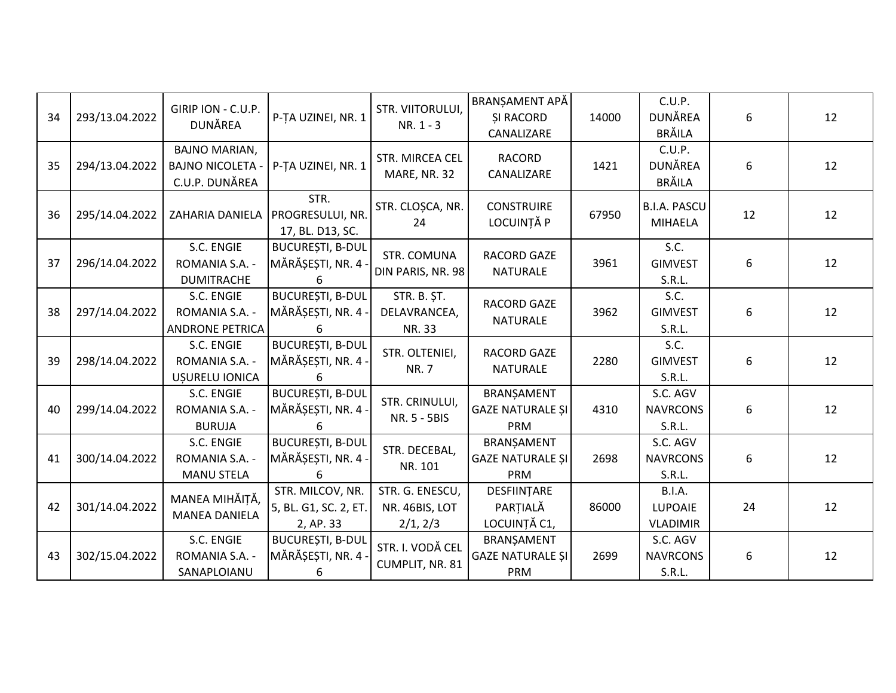| 34 | 293/13.04.2022 | GIRIP ION - C.U.P.<br><b>DUNĂREA</b>                              | P-TA UZINEI, NR. 1                                     | STR. VIITORULUI,<br>$NR. 1 - 3$               | BRANȘAMENT APĂ<br><b>ŞI RACORD</b><br>CANALIZARE | 14000 | C.U.P.<br>DUNĂREA<br><b>BRĂILA</b>    | 6  | 12 |
|----|----------------|-------------------------------------------------------------------|--------------------------------------------------------|-----------------------------------------------|--------------------------------------------------|-------|---------------------------------------|----|----|
| 35 | 294/13.04.2022 | <b>BAJNO MARIAN,</b><br><b>BAJNO NICOLETA -</b><br>C.U.P. DUNĂREA | P-TA UZINEI, NR. 1                                     | STR. MIRCEA CEL<br>MARE, NR. 32               | <b>RACORD</b><br>CANALIZARE                      | 1421  | C.U.P.<br>DUNĂREA<br><b>BRĂILA</b>    | 6  | 12 |
| 36 | 295/14.04.2022 | ZAHARIA DANIELA                                                   | STR.<br>PROGRESULUI, NR.<br>17, BL. D13, SC.           | STR. CLOȘCA, NR.<br>24                        | <b>CONSTRUIRE</b><br>LOCUINȚĂ P                  | 67950 | <b>B.I.A. PASCU</b><br><b>MIHAELA</b> | 12 | 12 |
| 37 | 296/14.04.2022 | S.C. ENGIE<br>ROMANIA S.A. -<br><b>DUMITRACHE</b>                 | <b>BUCUREȘTI, B-DUL</b><br>MĂRĂȘEȘTI, NR. 4<br>6       | STR. COMUNA<br>DIN PARIS, NR. 98              | RACORD GAZE<br><b>NATURALE</b>                   | 3961  | S.C.<br><b>GIMVEST</b><br>S.R.L.      | 6  | 12 |
| 38 | 297/14.04.2022 | S.C. ENGIE<br>ROMANIA S.A. -<br><b>ANDRONE PETRICA</b>            | <b>BUCUREȘTI, B-DUL</b><br>MĂRĂȘEȘTI, NR. 4 -<br>6     | STR. B. ȘT.<br>DELAVRANCEA,<br>NR. 33         | RACORD GAZE<br><b>NATURALE</b>                   | 3962  | S.C.<br><b>GIMVEST</b><br>S.R.L.      | 6  | 12 |
| 39 | 298/14.04.2022 | S.C. ENGIE<br>ROMANIA S.A. -<br>UȘURELU IONICA                    | <b>BUCUREȘTI, B-DUL</b><br>MĂRĂȘEȘTI, NR. 4 -<br>6     | STR. OLTENIEI,<br><b>NR.7</b>                 | RACORD GAZE<br><b>NATURALE</b>                   | 2280  | S.C.<br><b>GIMVEST</b><br>S.R.L.      | 6  | 12 |
| 40 | 299/14.04.2022 | S.C. ENGIE<br>ROMANIA S.A. -<br><b>BURUJA</b>                     | <b>BUCUREȘTI, B-DUL</b><br>MĂRĂȘEȘTI, NR. 4            | STR. CRINULUI,<br>NR. 5 - 5BIS                | BRANŞAMENT<br><b>GAZE NATURALE ȘI</b><br>PRM     | 4310  | S.C. AGV<br><b>NAVRCONS</b><br>S.R.L. | 6  | 12 |
| 41 | 300/14.04.2022 | S.C. ENGIE<br>ROMANIA S.A. -<br><b>MANU STELA</b>                 | <b>BUCUREȘTI, B-DUL</b><br>MĂRĂȘEȘTI, NR. 4 -<br>6     | STR. DECEBAL,<br>NR. 101                      | BRANȘAMENT<br><b>GAZE NATURALE ȘI</b><br>PRM     | 2698  | S.C. AGV<br><b>NAVRCONS</b><br>S.R.L. | 6  | 12 |
| 42 | 301/14.04.2022 | MANEA MIHĂIȚĂ,<br><b>MANEA DANIELA</b>                            | STR. MILCOV, NR.<br>5, BL. G1, SC. 2, ET.<br>2, AP. 33 | STR. G. ENESCU,<br>NR. 46BIS, LOT<br>2/1, 2/3 | DESFIINTARE<br>PARTIALĂ<br>LOCUINȚĂ C1,          | 86000 | B.I.A.<br>LUPOAIE<br><b>VLADIMIR</b>  | 24 | 12 |
| 43 | 302/15.04.2022 | S.C. ENGIE<br>ROMANIA S.A. -<br>SANAPLOIANU                       | <b>BUCUREȘTI, B-DUL</b><br>MĂRĂȘEȘTI, NR. 4<br>6       | STR. I. VODĂ CEL<br>CUMPLIT, NR. 81           | BRANȘAMENT<br><b>GAZE NATURALE ȘI</b><br>PRM     | 2699  | S.C. AGV<br><b>NAVRCONS</b><br>S.R.L. | 6  | 12 |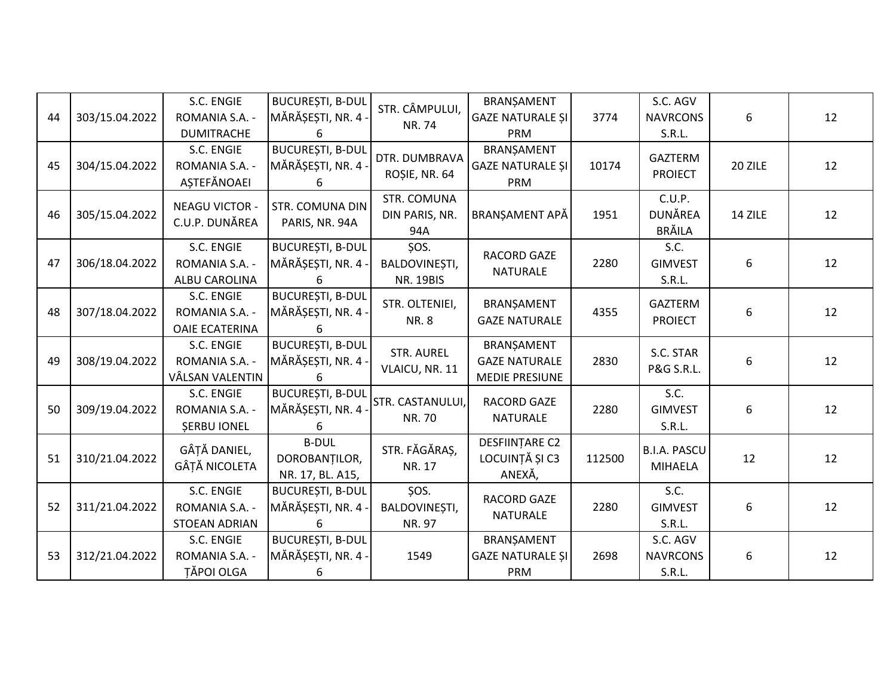| 44 | 303/15.04.2022 | S.C. ENGIE<br>ROMANIA S.A. -<br><b>DUMITRACHE</b>  | <b>BUCUREȘTI, B-DUL</b><br>MĂRĂȘEȘTI, NR. 4 -<br>6 | STR. CÂMPULUI,<br>NR. 74                  | BRANŞAMENT<br><b>GAZE NATURALE ȘI</b><br>PRM         | 3774   | S.C. AGV<br><b>NAVRCONS</b><br>S.R.L.     | 6       | 12 |
|----|----------------|----------------------------------------------------|----------------------------------------------------|-------------------------------------------|------------------------------------------------------|--------|-------------------------------------------|---------|----|
| 45 | 304/15.04.2022 | S.C. ENGIE<br>ROMANIA S.A. -<br>AȘTEFĂNOAEI        | <b>BUCUREȘTI, B-DUL</b><br>MĂRĂȘEȘTI, NR. 4<br>6   | DTR. DUMBRAVA<br>ROȘIE, NR. 64            | BRANŞAMENT<br><b>GAZE NATURALE ȘI</b><br>PRM         | 10174  | <b>GAZTERM</b><br><b>PROIECT</b>          | 20 ZILE | 12 |
| 46 | 305/15.04.2022 | <b>NEAGU VICTOR -</b><br>C.U.P. DUNĂREA            | <b>STR. COMUNA DIN</b><br>PARIS, NR. 94A           | STR. COMUNA<br>DIN PARIS, NR.<br>94A      | BRANȘAMENT APĂ                                       | 1951   | C.U.P.<br><b>DUNĂREA</b><br><b>BRĂILA</b> | 14 ZILE | 12 |
| 47 | 306/18.04.2022 | S.C. ENGIE<br>ROMANIA S.A. -<br>ALBU CAROLINA      | <b>BUCUREȘTI, B-DUL</b><br>MĂRĂȘEȘTI, NR. 4<br>6   | SOS.<br>BALDOVINEȘTI,<br><b>NR. 19BIS</b> | RACORD GAZE<br><b>NATURALE</b>                       | 2280   | S.C.<br><b>GIMVEST</b><br>S.R.L.          | 6       | 12 |
| 48 | 307/18.04.2022 | S.C. ENGIE<br>ROMANIA S.A. -<br>OAIE ECATERINA     | <b>BUCUREȘTI, B-DUL</b><br>MĂRĂȘEȘTI, NR. 4 -<br>6 | STR. OLTENIEI,<br><b>NR.8</b>             | BRANŞAMENT<br><b>GAZE NATURALE</b>                   | 4355   | <b>GAZTERM</b><br><b>PROIECT</b>          | 6       | 12 |
| 49 | 308/19.04.2022 | S.C. ENGIE<br>ROMANIA S.A. -<br>VÂLSAN VALENTIN    | <b>BUCUREȘTI, B-DUL</b><br>MĂRĂȘEȘTI, NR. 4 -<br>6 | <b>STR. AUREL</b><br>VLAICU, NR. 11       | BRANŞAMENT<br><b>GAZE NATURALE</b><br>MEDIE PRESIUNE | 2830   | S.C. STAR<br>P&G S.R.L.                   | 6       | 12 |
| 50 | 309/19.04.2022 | S.C. ENGIE<br>ROMANIA S.A. -<br><b>ŞERBU IONEL</b> | <b>BUCUREȘTI, B-DUL</b><br>MĂRĂȘEȘTI, NR. 4        | STR. CASTANULUI,<br>NR. 70                | <b>RACORD GAZE</b><br><b>NATURALE</b>                | 2280   | S.C.<br><b>GIMVEST</b><br>S.R.L.          | 6       | 12 |
| 51 | 310/21.04.2022 | GÂȚĂ DANIEL,<br>GÂȚĂ NICOLETA                      | <b>B-DUL</b><br>DOROBANTILOR,<br>NR. 17, BL. A15,  | STR. FĂGĂRAȘ,<br>NR. 17                   | DESFIINȚARE C2<br>LOCUINȚĂ ȘI C3<br>ANEXĂ,           | 112500 | <b>B.I.A. PASCU</b><br><b>MIHAELA</b>     | 12      | 12 |
| 52 | 311/21.04.2022 | S.C. ENGIE<br>ROMANIA S.A. -<br>STOEAN ADRIAN      | <b>BUCUREȘTI, B-DUL</b><br>MĂRĂȘEȘTI, NR. 4<br>6   | ŞOS.<br>BALDOVINEȘTI,<br>NR. 97           | RACORD GAZE<br><b>NATURALE</b>                       | 2280   | S.C.<br><b>GIMVEST</b><br>S.R.L.          | 6       | 12 |
| 53 | 312/21.04.2022 | S.C. ENGIE<br>ROMANIA S.A. -<br><b>TĂPOI OLGA</b>  | <b>BUCUREȘTI, B-DUL</b><br>MĂRĂȘEȘTI, NR. 4 -<br>6 | 1549                                      | BRANȘAMENT<br><b>GAZE NATURALE ȘI</b><br>PRM         | 2698   | S.C. AGV<br><b>NAVRCONS</b><br>S.R.L.     | 6       | 12 |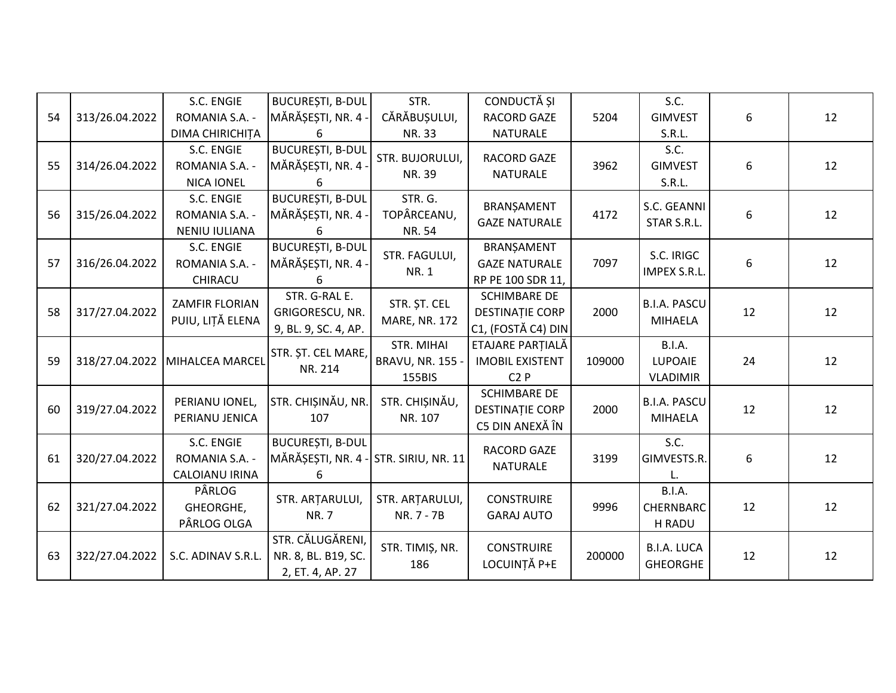| 54 | 313/26.04.2022 | S.C. ENGIE<br>ROMANIA S.A. -<br>DIMA CHIRICHITA   | <b>BUCUREȘTI, B-DUL</b><br>MĂRĂȘEȘTI, NR. 4 -<br>6                    | STR.<br>CĂRĂBUȘULUI,<br>NR. 33                  | CONDUCTĂ ȘI<br>RACORD GAZE<br><b>NATURALE</b>                       | 5204   | S.C.<br><b>GIMVEST</b><br>S.R.L.      | 6  | 12 |
|----|----------------|---------------------------------------------------|-----------------------------------------------------------------------|-------------------------------------------------|---------------------------------------------------------------------|--------|---------------------------------------|----|----|
| 55 | 314/26.04.2022 | S.C. ENGIE<br>ROMANIA S.A. -<br><b>NICA IONEL</b> | <b>BUCUREȘTI, B-DUL</b><br>MĂRĂȘEȘTI, NR. 4<br>6                      | STR. BUJORULUI,<br>NR. 39                       | <b>RACORD GAZE</b><br>NATURALE                                      | 3962   | S.C.<br><b>GIMVEST</b><br>S.R.L.      | 6  | 12 |
| 56 | 315/26.04.2022 | S.C. ENGIE<br>ROMANIA S.A. -<br>NENIU IULIANA     | <b>BUCUREȘTI, B-DUL</b><br>MĂRĂȘEȘTI, NR. 4 -<br>հ                    | STR. G.<br>TOPÂRCEANU,<br>NR. 54                | BRANŞAMENT<br><b>GAZE NATURALE</b>                                  | 4172   | S.C. GEANNI<br>STAR S.R.L.            | 6  | 12 |
| 57 | 316/26.04.2022 | S.C. ENGIE<br>ROMANIA S.A. -<br>CHIRACU           | <b>BUCUREȘTI, B-DUL</b><br>MĂRĂȘEȘTI, NR. 4 ·<br>6                    | STR. FAGULUI,<br><b>NR.1</b>                    | BRANȘAMENT<br><b>GAZE NATURALE</b><br>RP PE 100 SDR 11,             | 7097   | S.C. IRIGC<br>IMPEX S.R.L.            | 6  | 12 |
| 58 | 317/27.04.2022 | ZAMFIR FLORIAN<br>PUIU, LIȚĂ ELENA                | STR. G-RAL E.<br>GRIGORESCU, NR.<br>9, BL. 9, SC. 4, AP.              | STR. ȘT. CEL<br>MARE, NR. 172                   | <b>SCHIMBARE DE</b><br><b>DESTINAȚIE CORP</b><br>C1, (FOSTĂ C4) DIN | 2000   | <b>B.I.A. PASCU</b><br><b>MIHAELA</b> | 12 | 12 |
| 59 | 318/27.04.2022 | MIHALCEA MARCEL                                   | STR. ȘT. CEL MARE,<br>NR. 214                                         | STR. MIHAI<br><b>BRAVU, NR. 155 -</b><br>155BIS | ETAJARE PARȚIALĂ<br><b>IMOBIL EXISTENT</b><br>C2P                   | 109000 | B.I.A.<br>LUPOAIE<br><b>VLADIMIR</b>  | 24 | 12 |
| 60 | 319/27.04.2022 | PERIANU IONEL,<br>PERIANU JENICA                  | STR. CHIȘINĂU, NR.<br>107                                             | STR. CHIȘINĂU,<br>NR. 107                       | <b>SCHIMBARE DE</b><br><b>DESTINAȚIE CORP</b><br>C5 DIN ANEXĂ ÎN    | 2000   | <b>B.I.A. PASCU</b><br><b>MIHAELA</b> | 12 | 12 |
| 61 | 320/27.04.2022 | S.C. ENGIE<br>ROMANIA S.A. -<br>CALOIANU IRINA    | <b>BUCUREȘTI, B-DUL</b><br>MĂRĂȘEȘTI, NR. 4 - STR. SIRIU, NR. 11<br>6 |                                                 | RACORD GAZE<br><b>NATURALE</b>                                      | 3199   | S.C.<br>GIMVESTS.R.                   | 6  | 12 |
| 62 | 321/27.04.2022 | PÂRLOG<br>GHEORGHE,<br>PÂRLOG OLGA                | STR. ARTARULUI,<br><b>NR.7</b>                                        | STR. ARTARULUI,<br>NR. 7 - 7B                   | <b>CONSTRUIRE</b><br><b>GARAJ AUTO</b>                              | 9996   | B.I.A.<br>CHERNBARC<br>H RADU         | 12 | 12 |
| 63 | 322/27.04.2022 | S.C. ADINAV S.R.L.                                | STR. CĂLUGĂRENI,<br>NR. 8, BL. B19, SC.<br>2, ET. 4, AP. 27           | STR. TIMIȘ, NR.<br>186                          | <b>CONSTRUIRE</b><br>LOCUINȚĂ P+E                                   | 200000 | <b>B.I.A. LUCA</b><br><b>GHEORGHE</b> | 12 | 12 |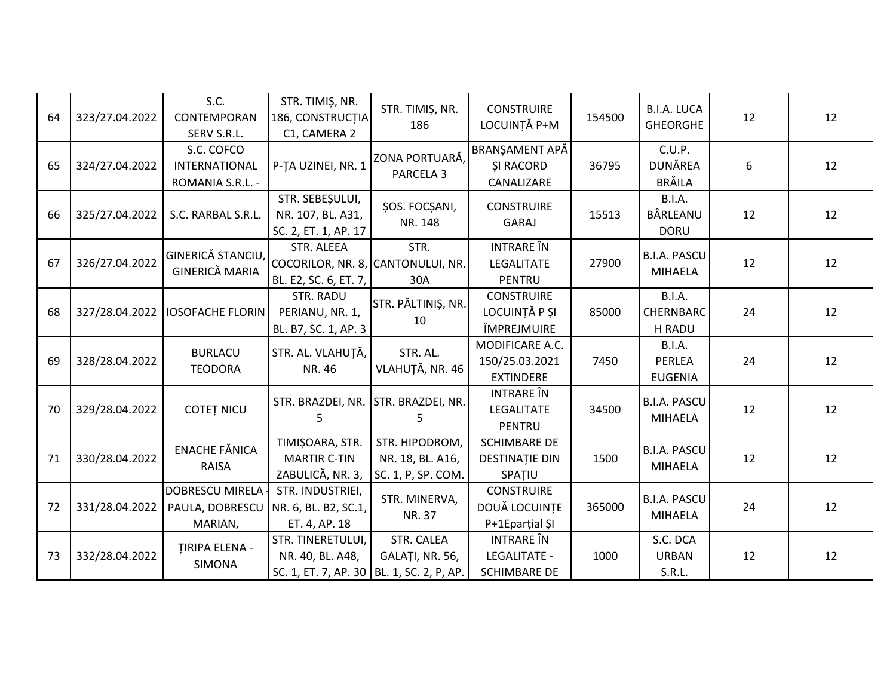| 64 | 323/27.04.2022 | S.C.<br>CONTEMPORAN<br>SERV S.R.L.                   | STR. TIMIȘ, NR.<br>186, CONSTRUCȚIA<br>C1, CAMERA 2                                  | STR. TIMIȘ, NR.<br>186                                   | <b>CONSTRUIRE</b><br>LOCUINȚĂ P+M                        | 154500 | <b>B.I.A. LUCA</b><br><b>GHEORGHE</b>     | 12 | 12 |
|----|----------------|------------------------------------------------------|--------------------------------------------------------------------------------------|----------------------------------------------------------|----------------------------------------------------------|--------|-------------------------------------------|----|----|
| 65 | 324/27.04.2022 | S.C. COFCO<br>INTERNATIONAL<br>ROMANIA S.R.L. -      | P-TA UZINEI, NR. 1                                                                   | ZONA PORTUARĂ,<br>PARCELA <sub>3</sub>                   | BRANȘAMENT APĂ<br><b>ŞI RACORD</b><br>CANALIZARE         | 36795  | C.U.P.<br>DUNĂREA<br><b>BRĂILA</b>        | 6  | 12 |
| 66 | 325/27.04.2022 | S.C. RARBAL S.R.L.                                   | STR. SEBEȘULUI,<br>NR. 107, BL. A31,<br>SC. 2, ET. 1, AP. 17                         | ŞOS. FOCŞANI,<br>NR. 148                                 | <b>CONSTRUIRE</b><br>GARAJ                               | 15513  | <b>B.I.A.</b><br>BÂRLEANU<br><b>DORU</b>  | 12 | 12 |
| 67 | 326/27.04.2022 | GINERICĂ STANCIU,<br><b>GINERICĂ MARIA</b>           | STR. ALEEA<br>COCORILOR, NR. 8, CANTONULUI, NR.<br>BL. E2, SC. 6, ET. 7,             | STR.<br>30A                                              | <b>INTRARE</b> ÎN<br>LEGALITATE<br>PENTRU                | 27900  | <b>B.I.A. PASCU</b><br><b>MIHAELA</b>     | 12 | 12 |
| 68 | 327/28.04.2022 | <b>IOSOFACHE FLORIN</b>                              | STR. RADU<br>PERIANU, NR. 1,<br>BL. B7, SC. 1, AP. 3                                 | STR. PĂLTINIȘ, NR.<br>10                                 | <b>CONSTRUIRE</b><br>LOCUINȚĂ P ȘI<br>ÎMPREJMUIRE        | 85000  | B.I.A.<br>CHERNBARC<br>H RADU             | 24 | 12 |
| 69 | 328/28.04.2022 | <b>BURLACU</b><br><b>TEODORA</b>                     | STR. AL. VLAHUȚĂ,<br>NR. 46                                                          | STR. AL.<br>VLAHUȚĂ, NR. 46                              | MODIFICARE A.C.<br>150/25.03.2021<br><b>EXTINDERE</b>    | 7450   | B.I.A.<br><b>PERLEA</b><br><b>EUGENIA</b> | 24 | 12 |
| 70 | 329/28.04.2022 | <b>COTET NICU</b>                                    | STR. BRAZDEI, NR.<br>5                                                               | STR. BRAZDEI, NR.<br>5                                   | INTRARE ÎN<br>LEGALITATE<br>PENTRU                       | 34500  | <b>B.I.A. PASCU</b><br><b>MIHAELA</b>     | 12 | 12 |
| 71 | 330/28.04.2022 | <b>ENACHE FĂNICA</b><br>RAISA                        | TIMIȘOARA, STR.<br><b>MARTIR C-TIN</b><br>ZABULICĂ, NR. 3,                           | STR. HIPODROM,<br>NR. 18, BL. A16,<br>SC. 1, P, SP. COM. | <b>SCHIMBARE DE</b><br><b>DESTINAȚIE DIN</b><br>SPATIU   | 1500   | <b>B.I.A. PASCU</b><br><b>MIHAELA</b>     | 12 | 12 |
| 72 | 331/28.04.2022 | <b>DOBRESCU MIRELA</b><br>PAULA, DOBRESCU<br>MARIAN, | STR. INDUSTRIEI,<br>NR. 6, BL. B2, SC.1,<br>ET. 4, AP. 18                            | STR. MINERVA,<br>NR. 37                                  | <b>CONSTRUIRE</b><br>DOUĂ LOCUINȚE<br>P+1Eparțial ȘI     | 365000 | <b>B.I.A. PASCU</b><br>MIHAELA            | 24 | 12 |
| 73 | 332/28.04.2022 | <b>TIRIPA ELENA -</b><br><b>SIMONA</b>               | STR. TINERETULUI,<br>NR. 40, BL. A48,<br>SC. 1, ET. 7, AP. 30   BL. 1, SC. 2, P, AP. | STR. CALEA<br>GALAȚI, NR. 56,                            | INTRARE ÎN<br><b>LEGALITATE -</b><br><b>SCHIMBARE DE</b> | 1000   | S.C. DCA<br><b>URBAN</b><br>S.R.L.        | 12 | 12 |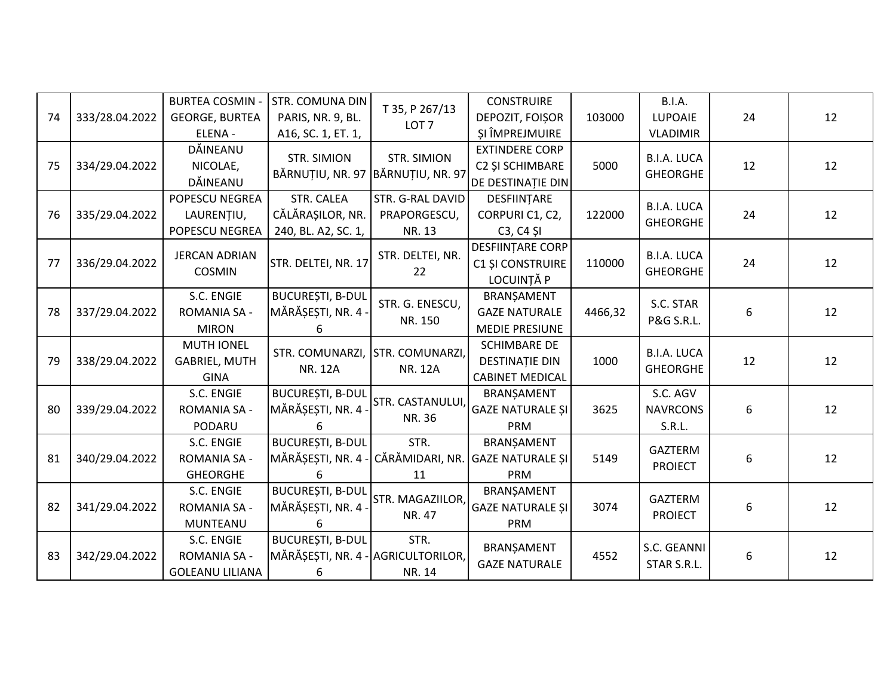| 74 | 333/28.04.2022 | <b>BURTEA COSMIN -</b><br><b>GEORGE, BURTEA</b><br>ELENA - | STR. COMUNA DIN<br>PARIS, NR. 9, BL.<br>A16, SC. 1, ET. 1,         | T 35, P 267/13<br>LOT <sub>7</sub>         | <b>CONSTRUIRE</b><br>DEPOZIT, FOIȘOR<br>SI ÎMPREJMUIRE                 | 103000  | <b>B.I.A.</b><br><b>LUPOAIE</b><br><b>VLADIMIR</b> | 24 | 12 |
|----|----------------|------------------------------------------------------------|--------------------------------------------------------------------|--------------------------------------------|------------------------------------------------------------------------|---------|----------------------------------------------------|----|----|
| 75 | 334/29.04.2022 | DĂINEANU<br>NICOLAE,<br>DĂINEANU                           | <b>STR. SIMION</b><br>BĂRNUȚIU, NR. 97 BĂRNUȚIU, NR. 97            | STR. SIMION                                | <b>EXTINDERE CORP</b><br>C2 ȘI SCHIMBARE<br>DE DESTINAȚIE DIN          | 5000    | <b>B.I.A. LUCA</b><br><b>GHEORGHE</b>              | 12 | 12 |
| 76 | 335/29.04.2022 | POPESCU NEGREA<br>LAURENȚIU,<br>POPESCU NEGREA             | STR. CALEA<br>CĂLĂRAȘILOR, NR.<br>240, BL. A2, SC. 1,              | STR. G-RAL DAVID<br>PRAPORGESCU,<br>NR. 13 | DESFIINTARE<br>CORPURI C1, C2,<br>C <sub>3</sub> , C <sub>4</sub> SI   | 122000  | <b>B.I.A. LUCA</b><br><b>GHEORGHE</b>              | 24 | 12 |
| 77 | 336/29.04.2022 | <b>JERCAN ADRIAN</b><br><b>COSMIN</b>                      | STR. DELTEI, NR. 17                                                | STR. DELTEI, NR.<br>22                     | DESFIINȚARE CORP<br>C1 ȘI CONSTRUIRE<br>LOCUINȚĂ P                     | 110000  | <b>B.I.A. LUCA</b><br><b>GHEORGHE</b>              | 24 | 12 |
| 78 | 337/29.04.2022 | S.C. ENGIE<br><b>ROMANIA SA -</b><br><b>MIRON</b>          | <b>BUCUREȘTI, B-DUL</b><br>MĂRĂȘEȘTI, NR. 4<br>6                   | STR. G. ENESCU,<br>NR. 150                 | BRANŞAMENT<br><b>GAZE NATURALE</b><br>MEDIE PRESIUNE                   | 4466,32 | S.C. STAR<br>P&G S.R.L.                            | 6  | 12 |
| 79 | 338/29.04.2022 | <b>MUTH IONEL</b><br><b>GABRIEL, MUTH</b><br><b>GINA</b>   | STR. COMUNARZI,<br><b>NR. 12A</b>                                  | STR. COMUNARZI,<br><b>NR. 12A</b>          | <b>SCHIMBARE DE</b><br><b>DESTINATIE DIN</b><br><b>CABINET MEDICAL</b> | 1000    | <b>B.I.A. LUCA</b><br><b>GHEORGHE</b>              | 12 | 12 |
| 80 | 339/29.04.2022 | S.C. ENGIE<br>ROMANIA SA -<br>PODARU                       | <b>BUCUREȘTI, B-DUL</b><br>MĂRĂȘEȘTI, NR. 4                        | STR. CASTANULUI,<br>NR. 36                 | BRANSAMENT<br><b>GAZE NATURALE ȘI</b><br><b>PRM</b>                    | 3625    | S.C. AGV<br><b>NAVRCONS</b><br>S.R.L.              | 6  | 12 |
| 81 | 340/29.04.2022 | S.C. ENGIE<br>ROMANIA SA -<br><b>GHEORGHE</b>              | <b>BUCUREȘTI, B-DUL</b><br>MĂRĂȘEȘTI, NR. 4<br>6                   | STR.<br>CĂRĂMIDARI, NR.<br>11              | BRANŞAMENT<br><b>GAZE NATURALE ȘI</b><br>PRM                           | 5149    | GAZTERM<br><b>PROIECT</b>                          | 6  | 12 |
| 82 | 341/29.04.2022 | S.C. ENGIE<br>ROMANIA SA -<br>MUNTEANU                     | <b>BUCUREȘTI, B-DUL</b><br>MĂRĂȘEȘTI, NR. 4<br>6                   | STR. MAGAZIILOR,<br>NR. 47                 | BRANŞAMENT<br><b>GAZE NATURALE ȘI</b><br>PRM                           | 3074    | GAZTERM<br><b>PROIECT</b>                          | 6  | 12 |
| 83 | 342/29.04.2022 | S.C. ENGIE<br>ROMANIA SA -<br><b>GOLEANU LILIANA</b>       | <b>BUCUREȘTI, B-DUL</b><br>MĂRĂȘEȘTI, NR. 4 - AGRICULTORILOR,<br>6 | STR.<br>NR. 14                             | BRANŞAMENT<br><b>GAZE NATURALE</b>                                     | 4552    | S.C. GEANNI<br>STAR S.R.L.                         | 6  | 12 |